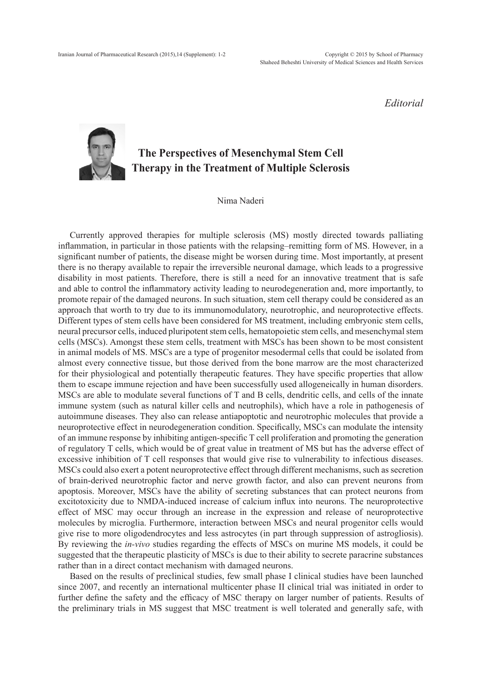*Editorial*

## **The Perspectives of Mesenchymal Stem Cell Therapy in the Treatment of Multiple Sclerosis**

Nima Naderi

Currently approved therapies for multiple sclerosis (MS) mostly directed towards palliating inflammation, in particular in those patients with the relapsing–remitting form of MS. However, in a significant number of patients, the disease might be worsen during time. Most importantly, at present there is no therapy available to repair the irreversible neuronal damage, which leads to a progressive disability in most patients. Therefore, there is still a need for an innovative treatment that is safe and able to control the inflammatory activity leading to neurodegeneration and, more importantly, to promote repair of the damaged neurons. In such situation, stem cell therapy could be considered as an approach that worth to try due to its immunomodulatory, neurotrophic, and neuroprotective effects. Different types of stem cells have been considered for MS treatment, including embryonic stem cells, neural precursor cells, induced pluripotent stem cells, hematopoietic stem cells, and mesenchymal stem cells (MSCs). Amongst these stem cells, treatment with MSCs has been shown to be most consistent in animal models of MS. MSCs are a type of progenitor mesodermal cells that could be isolated from almost every connective tissue, but those derived from the bone marrow are the most characterized for their physiological and potentially therapeutic features. They have specific properties that allow them to escape immune rejection and have been successfully used allogeneically in human disorders. MSCs are able to modulate several functions of T and B cells, dendritic cells, and cells of the innate immune system (such as natural killer cells and neutrophils), which have a role in pathogenesis of autoimmune diseases. They also can release antiapoptotic and neurotrophic molecules that provide a neuroprotective effect in neurodegeneration condition. Specifically, MSCs can modulate the intensity of an immune response by inhibiting antigen-specific T cell proliferation and promoting the generation of regulatory T cells, which would be of great value in treatment of MS but has the adverse effect of excessive inhibition of T cell responses that would give rise to vulnerability to infectious diseases. MSCs could also exert a potent neuroprotective effect through different mechanisms, such as secretion of brain-derived neurotrophic factor and nerve growth factor, and also can prevent neurons from apoptosis. Moreover, MSCs have the ability of secreting substances that can protect neurons from excitotoxicity due to NMDA-induced increase of calcium influx into neurons. The neuroprotective effect of MSC may occur through an increase in the expression and release of neuroprotective molecules by microglia. Furthermore, interaction between MSCs and neural progenitor cells would give rise to more oligodendrocytes and less astrocytes (in part through suppression of astrogliosis). By reviewing the *in-vivo* studies regarding the effects of MSCs on murine MS models, it could be suggested that the therapeutic plasticity of MSCs is due to their ability to secrete paracrine substances rather than in a direct contact mechanism with damaged neurons.

Based on the results of preclinical studies, few small phase I clinical studies have been launched since 2007, and recently an international multicenter phase II clinical trial was initiated in order to further define the safety and the efficacy of MSC therapy on larger number of patients. Results of the preliminary trials in MS suggest that MSC treatment is well tolerated and generally safe, with